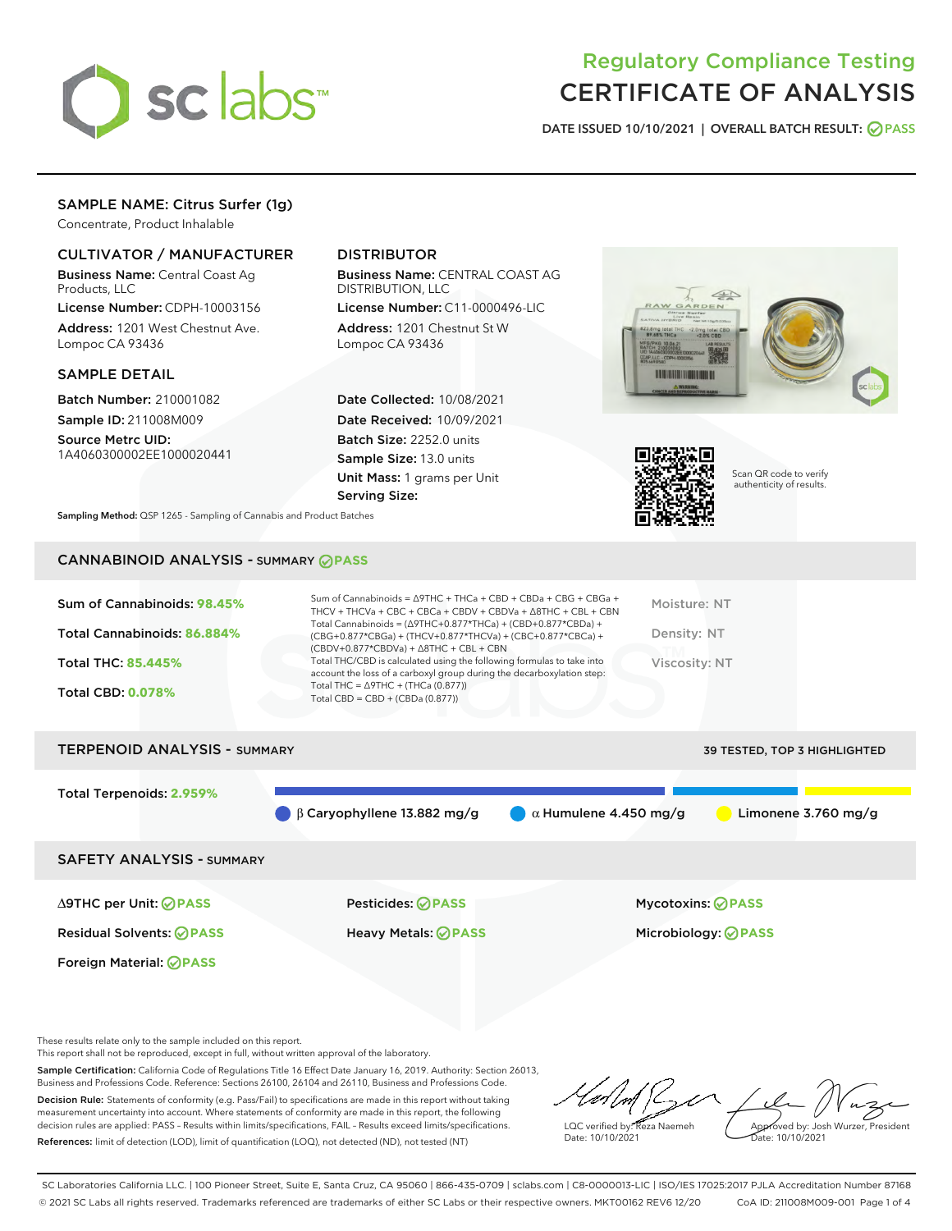

# Regulatory Compliance Testing CERTIFICATE OF ANALYSIS

DATE ISSUED 10/10/2021 | OVERALL BATCH RESULT: @ PASS

# SAMPLE NAME: Citrus Surfer (1g)

Concentrate, Product Inhalable

## CULTIVATOR / MANUFACTURER

Business Name: Central Coast Ag Products, LLC

License Number: CDPH-10003156 Address: 1201 West Chestnut Ave. Lompoc CA 93436

#### SAMPLE DETAIL

Batch Number: 210001082 Sample ID: 211008M009

Source Metrc UID: 1A4060300002EE1000020441

# DISTRIBUTOR

Business Name: CENTRAL COAST AG DISTRIBUTION, LLC

License Number: C11-0000496-LIC Address: 1201 Chestnut St W Lompoc CA 93436

Date Collected: 10/08/2021 Date Received: 10/09/2021 Batch Size: 2252.0 units Sample Size: 13.0 units Unit Mass: 1 grams per Unit Serving Size:





Scan QR code to verify authenticity of results.

Sampling Method: QSP 1265 - Sampling of Cannabis and Product Batches

# CANNABINOID ANALYSIS - SUMMARY **PASS**

| Sum of Cannabinoids = $\triangle$ 9THC + THCa + CBD + CBDa + CBG + CBGa +<br>Sum of Cannabinoids: 98.45%<br>THCV + THCVa + CBC + CBCa + CBDV + CBDVa + $\Delta$ 8THC + CBL + CBN<br>Total Cannabinoids = $(\Delta$ 9THC+0.877*THCa) + (CBD+0.877*CBDa) + | Moisture: NT  |
|----------------------------------------------------------------------------------------------------------------------------------------------------------------------------------------------------------------------------------------------------------|---------------|
| Total Cannabinoids: 86.884%<br>(CBG+0.877*CBGa) + (THCV+0.877*THCVa) + (CBC+0.877*CBCa) +<br>$(CBDV+0.877*CBDVa) + \Delta 8THC + CBL + CBN$                                                                                                              | Density: NT   |
| Total THC/CBD is calculated using the following formulas to take into<br><b>Total THC: 85.445%</b><br>account the loss of a carboxyl group during the decarboxylation step:                                                                              | Viscosity: NT |
| Total THC = $\triangle$ 9THC + (THCa (0.877))<br><b>Total CBD: 0.078%</b><br>Total CBD = $CBD + (CBDa (0.877))$                                                                                                                                          |               |

# TERPENOID ANALYSIS - SUMMARY 39 TESTED, TOP 3 HIGHLIGHTED Total Terpenoids: **2.959%** β Caryophyllene 13.882 mg/g  $\qquad \qquad \alpha$  Humulene 4.450 mg/g  $\qquad \qquad$  Limonene 3.760 mg/g SAFETY ANALYSIS - SUMMARY

Foreign Material: **PASS**

∆9THC per Unit: **PASS** Pesticides: **PASS** Mycotoxins: **PASS**

Residual Solvents: **PASS** Heavy Metals: **PASS** Microbiology: **PASS**

These results relate only to the sample included on this report.

This report shall not be reproduced, except in full, without written approval of the laboratory.

Sample Certification: California Code of Regulations Title 16 Effect Date January 16, 2019. Authority: Section 26013, Business and Professions Code. Reference: Sections 26100, 26104 and 26110, Business and Professions Code. Decision Rule: Statements of conformity (e.g. Pass/Fail) to specifications are made in this report without taking measurement uncertainty into account. Where statements of conformity are made in this report, the following

References: limit of detection (LOD), limit of quantification (LOQ), not detected (ND), not tested (NT)

decision rules are applied: PASS – Results within limits/specifications, FAIL – Results exceed limits/specifications.

LQC verified by: Reza Naemeh Date: 10/10/2021 Approved by: Josh Wurzer, President Date: 10/10/2021

SC Laboratories California LLC. | 100 Pioneer Street, Suite E, Santa Cruz, CA 95060 | 866-435-0709 | sclabs.com | C8-0000013-LIC | ISO/IES 17025:2017 PJLA Accreditation Number 87168 © 2021 SC Labs all rights reserved. Trademarks referenced are trademarks of either SC Labs or their respective owners. MKT00162 REV6 12/20 CoA ID: 211008M009-001 Page 1 of 4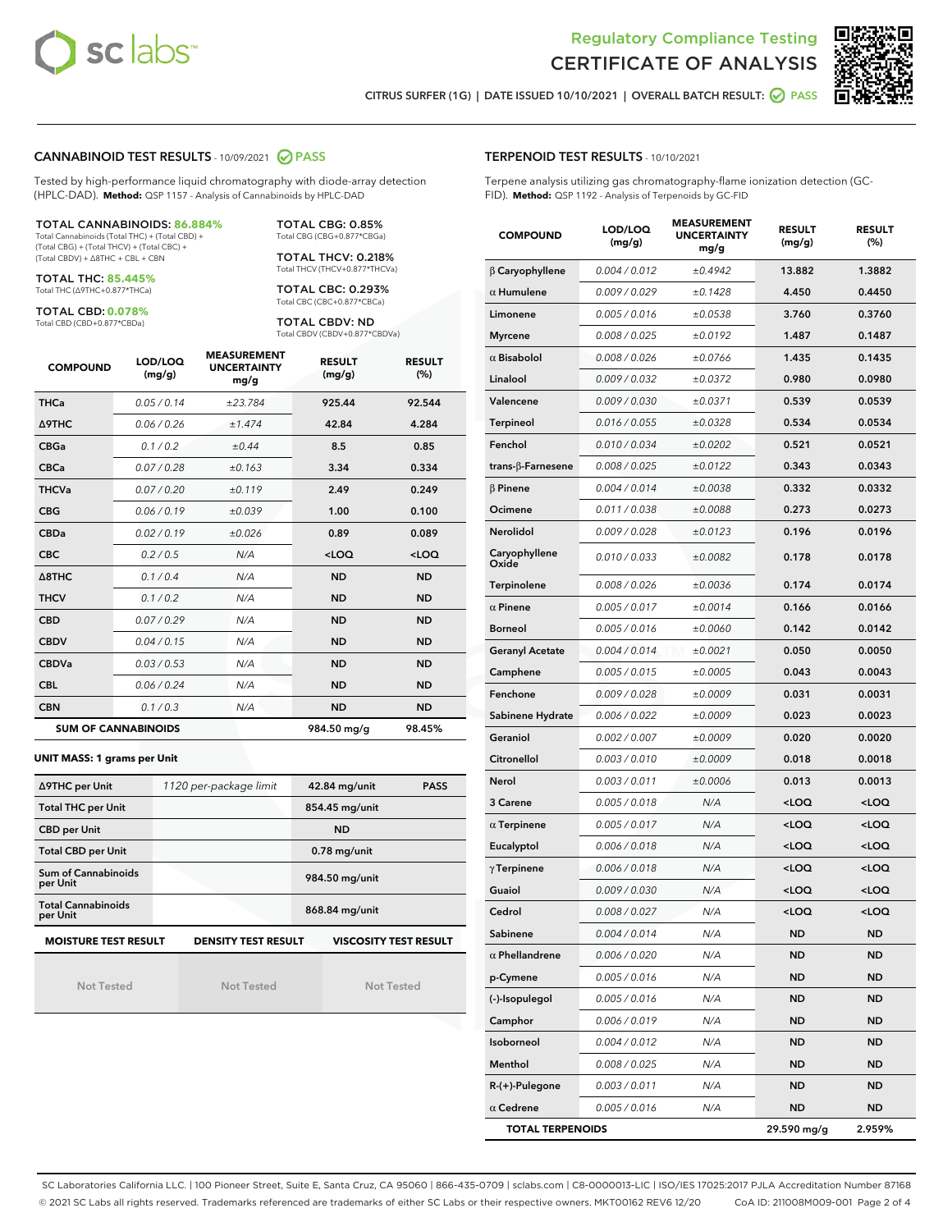



CITRUS SURFER (1G) | DATE ISSUED 10/10/2021 | OVERALL BATCH RESULT: @ PASS

#### CANNABINOID TEST RESULTS - 10/09/2021 2 PASS

Tested by high-performance liquid chromatography with diode-array detection (HPLC-DAD). **Method:** QSP 1157 - Analysis of Cannabinoids by HPLC-DAD

#### TOTAL CANNABINOIDS: **86.884%**

Total Cannabinoids (Total THC) + (Total CBD) + (Total CBG) + (Total THCV) + (Total CBC) + (Total CBDV) + ∆8THC + CBL + CBN

TOTAL THC: **85.445%** Total THC (∆9THC+0.877\*THCa)

TOTAL CBD: **0.078%**

Total CBD (CBD+0.877\*CBDa)

TOTAL CBG: 0.85% Total CBG (CBG+0.877\*CBGa)

TOTAL THCV: 0.218% Total THCV (THCV+0.877\*THCVa)

TOTAL CBC: 0.293% Total CBC (CBC+0.877\*CBCa)

TOTAL CBDV: ND Total CBDV (CBDV+0.877\*CBDVa)

| <b>COMPOUND</b>  | LOD/LOQ<br>(mg/g)          | <b>MEASUREMENT</b><br><b>UNCERTAINTY</b><br>mg/g | <b>RESULT</b><br>(mg/g) | <b>RESULT</b><br>(%) |
|------------------|----------------------------|--------------------------------------------------|-------------------------|----------------------|
| <b>THCa</b>      | 0.05 / 0.14                | ±23.784                                          | 925.44                  | 92.544               |
| <b>A9THC</b>     | 0.06/0.26                  | ±1.474                                           | 42.84                   | 4.284                |
| <b>CBGa</b>      | 0.1/0.2                    | ±0.44                                            | 8.5                     | 0.85                 |
| <b>CBCa</b>      | 0.07 / 0.28                | ±0.163                                           | 3.34                    | 0.334                |
| <b>THCVa</b>     | 0.07/0.20                  | ±0.119                                           | 2.49                    | 0.249                |
| <b>CBG</b>       | 0.06/0.19                  | ±0.039                                           | 1.00                    | 0.100                |
| <b>CBDa</b>      | 0.02/0.19                  | ±0.026                                           | 0.89                    | 0.089                |
| <b>CBC</b>       | 0.2 / 0.5                  | N/A                                              | $<$ LOQ                 | $<$ LOQ              |
| $\triangle$ 8THC | 0.1 / 0.4                  | N/A                                              | <b>ND</b>               | <b>ND</b>            |
| <b>THCV</b>      | 0.1/0.2                    | N/A                                              | <b>ND</b>               | <b>ND</b>            |
| <b>CBD</b>       | 0.07/0.29                  | N/A                                              | <b>ND</b>               | <b>ND</b>            |
| <b>CBDV</b>      | 0.04 / 0.15                | N/A                                              | <b>ND</b>               | <b>ND</b>            |
| <b>CBDVa</b>     | 0.03/0.53                  | N/A                                              | <b>ND</b>               | <b>ND</b>            |
| <b>CBL</b>       | 0.06 / 0.24                | N/A                                              | <b>ND</b>               | <b>ND</b>            |
| <b>CBN</b>       | 0.1 / 0.3                  | N/A                                              | <b>ND</b>               | <b>ND</b>            |
|                  | <b>SUM OF CANNABINOIDS</b> |                                                  | 984.50 mg/g             | 98.45%               |

#### **UNIT MASS: 1 grams per Unit**

| ∆9THC per Unit                        | 1120 per-package limit     | 42.84 mg/unit<br><b>PASS</b> |  |  |
|---------------------------------------|----------------------------|------------------------------|--|--|
| <b>Total THC per Unit</b>             |                            | 854.45 mg/unit               |  |  |
| <b>CBD per Unit</b>                   |                            | <b>ND</b>                    |  |  |
| <b>Total CBD per Unit</b>             |                            | $0.78$ mg/unit               |  |  |
| Sum of Cannabinoids<br>per Unit       |                            | 984.50 mg/unit               |  |  |
| <b>Total Cannabinoids</b><br>per Unit |                            | 868.84 mg/unit               |  |  |
| <b>MOISTURE TEST RESULT</b>           | <b>DENSITY TEST RESULT</b> | <b>VISCOSITY TEST RESULT</b> |  |  |

Not Tested

Not Tested

Not Tested

#### TERPENOID TEST RESULTS - 10/10/2021

Terpene analysis utilizing gas chromatography-flame ionization detection (GC-FID). **Method:** QSP 1192 - Analysis of Terpenoids by GC-FID

| <b>COMPOUND</b>           | LOD/LOQ<br>(mg/g) | <b>MEASUREMENT</b><br><b>UNCERTAINTY</b><br>mg/g | <b>RESULT</b><br>(mg/g)                         | <b>RESULT</b><br>$(\%)$ |
|---------------------------|-------------------|--------------------------------------------------|-------------------------------------------------|-------------------------|
| $\beta$ Caryophyllene     | 0.004 / 0.012     | ±0.4942                                          | 13.882                                          | 1.3882                  |
| $\alpha$ Humulene         | 0.009 / 0.029     | ±0.1428                                          | 4.450                                           | 0.4450                  |
| Limonene                  | 0.005 / 0.016     | ±0.0538                                          | 3.760                                           | 0.3760                  |
| <b>Myrcene</b>            | 0.008 / 0.025     | ±0.0192                                          | 1.487                                           | 0.1487                  |
| $\alpha$ Bisabolol        | 0.008 / 0.026     | ±0.0766                                          | 1.435                                           | 0.1435                  |
| Linalool                  | 0.009/0.032       | ±0.0372                                          | 0.980                                           | 0.0980                  |
| Valencene                 | 0.009 / 0.030     | ±0.0371                                          | 0.539                                           | 0.0539                  |
| <b>Terpineol</b>          | 0.016 / 0.055     | ±0.0328                                          | 0.534                                           | 0.0534                  |
| Fenchol                   | 0.010 / 0.034     | ±0.0202                                          | 0.521                                           | 0.0521                  |
| trans- $\beta$ -Farnesene | 0.008 / 0.025     | ±0.0122                                          | 0.343                                           | 0.0343                  |
| $\beta$ Pinene            | 0.004 / 0.014     | ±0.0038                                          | 0.332                                           | 0.0332                  |
| Ocimene                   | 0.011 / 0.038     | ±0.0088                                          | 0.273                                           | 0.0273                  |
| Nerolidol                 | 0.009 / 0.028     | ±0.0123                                          | 0.196                                           | 0.0196                  |
| Caryophyllene<br>Oxide    | 0.010 / 0.033     | ±0.0082                                          | 0.178                                           | 0.0178                  |
| Terpinolene               | 0.008 / 0.026     | ±0.0036                                          | 0.174                                           | 0.0174                  |
| $\alpha$ Pinene           | 0.005 / 0.017     | ±0.0014                                          | 0.166                                           | 0.0166                  |
| <b>Borneol</b>            | 0.005 / 0.016     | ±0.0060                                          | 0.142                                           | 0.0142                  |
| <b>Geranyl Acetate</b>    | 0.004 / 0.014     | ±0.0021                                          | 0.050                                           | 0.0050                  |
| Camphene                  | 0.005 / 0.015     | ±0.0005                                          | 0.043                                           | 0.0043                  |
| Fenchone                  | 0.009 / 0.028     | ±0.0009                                          | 0.031                                           | 0.0031                  |
| Sabinene Hydrate          | 0.006 / 0.022     | ±0.0009                                          | 0.023                                           | 0.0023                  |
| Geraniol                  | 0.002 / 0.007     | ±0.0009                                          | 0.020                                           | 0.0020                  |
| Citronellol               | 0.003 / 0.010     | ±0.0009                                          | 0.018                                           | 0.0018                  |
| Nerol                     | 0.003 / 0.011     | ±0.0006                                          | 0.013                                           | 0.0013                  |
| 3 Carene                  | 0.005 / 0.018     | N/A                                              | <loq< th=""><th><loq< th=""></loq<></th></loq<> | <loq< th=""></loq<>     |
| $\alpha$ Terpinene        | 0.005 / 0.017     | N/A                                              | <loq< th=""><th><loq< th=""></loq<></th></loq<> | <loq< th=""></loq<>     |
| Eucalyptol                | 0.006 / 0.018     | N/A                                              | <loq< th=""><th><loq< th=""></loq<></th></loq<> | <loq< th=""></loq<>     |
| $\gamma$ Terpinene        | 0.006 / 0.018     | N/A                                              | <loq< th=""><th><loq< th=""></loq<></th></loq<> | <loq< th=""></loq<>     |
| Guaiol                    | 0.009 / 0.030     | N/A                                              | <loq< th=""><th><loq< th=""></loq<></th></loq<> | <loq< th=""></loq<>     |
| Cedrol                    | 0.008 / 0.027     | N/A                                              | $<$ l OO                                        | <loq< th=""></loq<>     |
| Sabinene                  | 0.004 / 0.014     | N/A                                              | ND                                              | <b>ND</b>               |
| $\alpha$ Phellandrene     | 0.006 / 0.020     | N/A                                              | <b>ND</b>                                       | <b>ND</b>               |
| p-Cymene                  | 0.005 / 0.016     | N/A                                              | ND                                              | <b>ND</b>               |
| (-)-Isopulegol            | 0.005 / 0.016     | N/A                                              | <b>ND</b>                                       | <b>ND</b>               |
| Camphor                   | 0.006 / 0.019     | N/A                                              | ND                                              | ND                      |
| Isoborneol                | 0.004 / 0.012     | N/A                                              | ND                                              | ND                      |
| Menthol                   | 0.008 / 0.025     | N/A                                              | ND                                              | <b>ND</b>               |
| $R-(+)$ -Pulegone         | 0.003 / 0.011     | N/A                                              | ND                                              | ND                      |
| $\alpha$ Cedrene          | 0.005 / 0.016     | N/A                                              | ND                                              | <b>ND</b>               |
| <b>TOTAL TERPENOIDS</b>   |                   |                                                  | 29.590 mg/g                                     | 2.959%                  |

SC Laboratories California LLC. | 100 Pioneer Street, Suite E, Santa Cruz, CA 95060 | 866-435-0709 | sclabs.com | C8-0000013-LIC | ISO/IES 17025:2017 PJLA Accreditation Number 87168 © 2021 SC Labs all rights reserved. Trademarks referenced are trademarks of either SC Labs or their respective owners. MKT00162 REV6 12/20 CoA ID: 211008M009-001 Page 2 of 4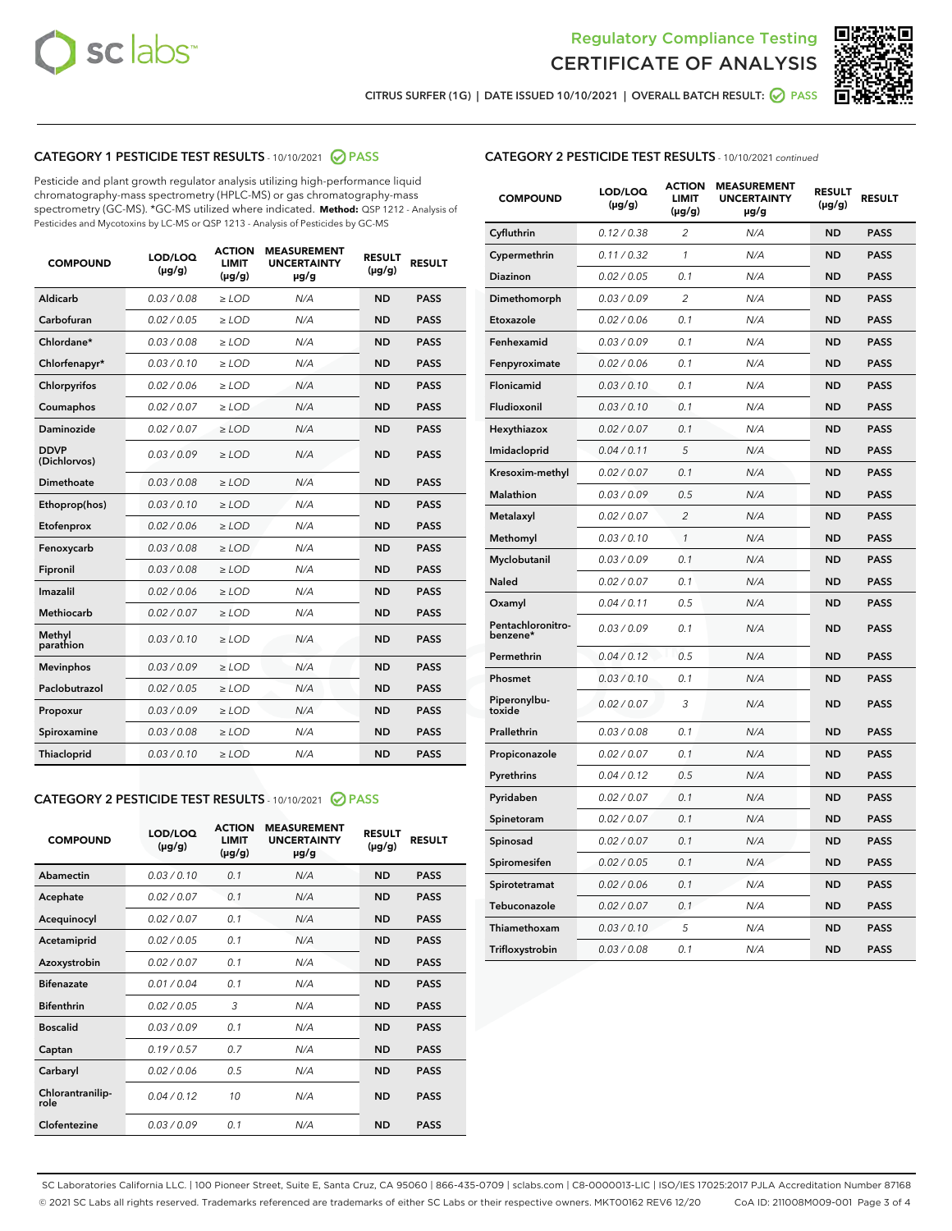



CITRUS SURFER (1G) | DATE ISSUED 10/10/2021 | OVERALL BATCH RESULT:  $\bigcirc$  PASS

# CATEGORY 1 PESTICIDE TEST RESULTS - 10/10/2021 2 PASS

Pesticide and plant growth regulator analysis utilizing high-performance liquid chromatography-mass spectrometry (HPLC-MS) or gas chromatography-mass spectrometry (GC-MS). \*GC-MS utilized where indicated. **Method:** QSP 1212 - Analysis of Pesticides and Mycotoxins by LC-MS or QSP 1213 - Analysis of Pesticides by GC-MS

| <b>COMPOUND</b>             | LOD/LOQ<br>$(\mu g/g)$ | <b>ACTION</b><br><b>LIMIT</b><br>$(\mu g/g)$ | <b>MEASUREMENT</b><br><b>UNCERTAINTY</b><br>$\mu$ g/g | <b>RESULT</b><br>$(\mu g/g)$ | <b>RESULT</b> |
|-----------------------------|------------------------|----------------------------------------------|-------------------------------------------------------|------------------------------|---------------|
| Aldicarb                    | 0.03 / 0.08            | $\ge$ LOD                                    | N/A                                                   | <b>ND</b>                    | <b>PASS</b>   |
| Carbofuran                  | 0.02/0.05              | $>$ LOD                                      | N/A                                                   | <b>ND</b>                    | <b>PASS</b>   |
| Chlordane*                  | 0.03 / 0.08            | $\ge$ LOD                                    | N/A                                                   | <b>ND</b>                    | <b>PASS</b>   |
| Chlorfenapyr*               | 0.03/0.10              | $\ge$ LOD                                    | N/A                                                   | <b>ND</b>                    | <b>PASS</b>   |
| Chlorpyrifos                | 0.02 / 0.06            | $\ge$ LOD                                    | N/A                                                   | <b>ND</b>                    | <b>PASS</b>   |
| Coumaphos                   | 0.02 / 0.07            | $>$ LOD                                      | N/A                                                   | <b>ND</b>                    | <b>PASS</b>   |
| Daminozide                  | 0.02 / 0.07            | $\ge$ LOD                                    | N/A                                                   | <b>ND</b>                    | <b>PASS</b>   |
| <b>DDVP</b><br>(Dichlorvos) | 0.03/0.09              | $\ge$ LOD                                    | N/A                                                   | <b>ND</b>                    | <b>PASS</b>   |
| <b>Dimethoate</b>           | 0.03/0.08              | $\ge$ LOD                                    | N/A                                                   | <b>ND</b>                    | <b>PASS</b>   |
| Ethoprop(hos)               | 0.03/0.10              | $>$ LOD                                      | N/A                                                   | <b>ND</b>                    | <b>PASS</b>   |
| Etofenprox                  | 0.02 / 0.06            | $\ge$ LOD                                    | N/A                                                   | <b>ND</b>                    | <b>PASS</b>   |
| Fenoxycarb                  | 0.03 / 0.08            | $>$ LOD                                      | N/A                                                   | <b>ND</b>                    | <b>PASS</b>   |
| Fipronil                    | 0.03/0.08              | $\ge$ LOD                                    | N/A                                                   | <b>ND</b>                    | <b>PASS</b>   |
| Imazalil                    | 0.02 / 0.06            | $\ge$ LOD                                    | N/A                                                   | <b>ND</b>                    | <b>PASS</b>   |
| Methiocarb                  | 0.02 / 0.07            | $\ge$ LOD                                    | N/A                                                   | <b>ND</b>                    | <b>PASS</b>   |
| Methyl<br>parathion         | 0.03/0.10              | $>$ LOD                                      | N/A                                                   | <b>ND</b>                    | <b>PASS</b>   |
| <b>Mevinphos</b>            | 0.03/0.09              | $>$ LOD                                      | N/A                                                   | <b>ND</b>                    | <b>PASS</b>   |
| Paclobutrazol               | 0.02 / 0.05            | $\ge$ LOD                                    | N/A                                                   | <b>ND</b>                    | <b>PASS</b>   |
| Propoxur                    | 0.03/0.09              | $\ge$ LOD                                    | N/A                                                   | <b>ND</b>                    | <b>PASS</b>   |
| Spiroxamine                 | 0.03 / 0.08            | $\ge$ LOD                                    | N/A                                                   | <b>ND</b>                    | <b>PASS</b>   |
| <b>Thiacloprid</b>          | 0.03/0.10              | $\ge$ LOD                                    | N/A                                                   | <b>ND</b>                    | <b>PASS</b>   |
|                             |                        |                                              |                                                       |                              |               |

# CATEGORY 2 PESTICIDE TEST RESULTS - 10/10/2021 @ PASS

| <b>COMPOUND</b>          | LOD/LOO<br>$(\mu g/g)$ | <b>ACTION</b><br>LIMIT<br>$(\mu g/g)$ | <b>MEASUREMENT</b><br><b>UNCERTAINTY</b><br>$\mu$ g/g | <b>RESULT</b><br>$(\mu g/g)$ | <b>RESULT</b> |
|--------------------------|------------------------|---------------------------------------|-------------------------------------------------------|------------------------------|---------------|
| Abamectin                | 0.03/0.10              | 0.1                                   | N/A                                                   | <b>ND</b>                    | <b>PASS</b>   |
| Acephate                 | 0.02/0.07              | 0.1                                   | N/A                                                   | <b>ND</b>                    | <b>PASS</b>   |
| Acequinocyl              | 0.02/0.07              | 0.1                                   | N/A                                                   | <b>ND</b>                    | <b>PASS</b>   |
| Acetamiprid              | 0.02/0.05              | 0.1                                   | N/A                                                   | <b>ND</b>                    | <b>PASS</b>   |
| Azoxystrobin             | 0.02/0.07              | 0.1                                   | N/A                                                   | <b>ND</b>                    | <b>PASS</b>   |
| <b>Bifenazate</b>        | 0.01/0.04              | 0.1                                   | N/A                                                   | <b>ND</b>                    | <b>PASS</b>   |
| <b>Bifenthrin</b>        | 0.02/0.05              | 3                                     | N/A                                                   | <b>ND</b>                    | <b>PASS</b>   |
| <b>Boscalid</b>          | 0.03/0.09              | 0.1                                   | N/A                                                   | <b>ND</b>                    | <b>PASS</b>   |
| Captan                   | 0.19/0.57              | 0.7                                   | N/A                                                   | <b>ND</b>                    | <b>PASS</b>   |
| Carbaryl                 | 0.02/0.06              | 0.5                                   | N/A                                                   | <b>ND</b>                    | <b>PASS</b>   |
| Chlorantranilip-<br>role | 0.04/0.12              | 10                                    | N/A                                                   | <b>ND</b>                    | <b>PASS</b>   |
| Clofentezine             | 0.03/0.09              | 0.1                                   | N/A                                                   | <b>ND</b>                    | <b>PASS</b>   |

| <b>CATEGORY 2 PESTICIDE TEST RESULTS</b> - 10/10/2021 continued |
|-----------------------------------------------------------------|
|-----------------------------------------------------------------|

| <b>COMPOUND</b>               | LOD/LOQ<br>(µg/g) | <b>ACTION</b><br>LIMIT<br>$(\mu g/g)$ | <b>MEASUREMENT</b><br><b>UNCERTAINTY</b><br>µg/g | <b>RESULT</b><br>(µg/g) | <b>RESULT</b> |
|-------------------------------|-------------------|---------------------------------------|--------------------------------------------------|-------------------------|---------------|
| Cyfluthrin                    | 0.12 / 0.38       | 2                                     | N/A                                              | <b>ND</b>               | <b>PASS</b>   |
| Cypermethrin                  | 0.11 / 0.32       | 1                                     | N/A                                              | <b>ND</b>               | <b>PASS</b>   |
| Diazinon                      | 0.02 / 0.05       | 0.1                                   | N/A                                              | ND                      | <b>PASS</b>   |
| Dimethomorph                  | 0.03 / 0.09       | 2                                     | N/A                                              | <b>ND</b>               | <b>PASS</b>   |
| Etoxazole                     | 0.02 / 0.06       | 0.1                                   | N/A                                              | ND                      | <b>PASS</b>   |
| Fenhexamid                    | 0.03 / 0.09       | 0.1                                   | N/A                                              | <b>ND</b>               | <b>PASS</b>   |
| Fenpyroximate                 | 0.02 / 0.06       | 0.1                                   | N/A                                              | <b>ND</b>               | <b>PASS</b>   |
| Flonicamid                    | 0.03 / 0.10       | 0.1                                   | N/A                                              | <b>ND</b>               | <b>PASS</b>   |
| Fludioxonil                   | 0.03 / 0.10       | 0.1                                   | N/A                                              | <b>ND</b>               | <b>PASS</b>   |
| Hexythiazox                   | 0.02 / 0.07       | 0.1                                   | N/A                                              | <b>ND</b>               | <b>PASS</b>   |
| Imidacloprid                  | 0.04 / 0.11       | 5                                     | N/A                                              | <b>ND</b>               | <b>PASS</b>   |
| Kresoxim-methyl               | 0.02 / 0.07       | 0.1                                   | N/A                                              | <b>ND</b>               | <b>PASS</b>   |
| <b>Malathion</b>              | 0.03 / 0.09       | 0.5                                   | N/A                                              | <b>ND</b>               | <b>PASS</b>   |
| Metalaxyl                     | 0.02 / 0.07       | $\overline{c}$                        | N/A                                              | ND                      | <b>PASS</b>   |
| Methomyl                      | 0.03 / 0.10       | $\mathcal{I}$                         | N/A                                              | ND                      | <b>PASS</b>   |
| Myclobutanil                  | 0.03 / 0.09       | 0.1                                   | N/A                                              | <b>ND</b>               | <b>PASS</b>   |
| <b>Naled</b>                  | 0.02 / 0.07       | 0.1                                   | N/A                                              | <b>ND</b>               | <b>PASS</b>   |
| Oxamyl                        | 0.04 / 0.11       | 0.5                                   | N/A                                              | <b>ND</b>               | <b>PASS</b>   |
| Pentachloronitro-<br>benzene* | 0.03/0.09         | 0.1                                   | N/A                                              | <b>ND</b>               | <b>PASS</b>   |
| Permethrin                    | 0.04 / 0.12       | 0.5                                   | N/A                                              | ND                      | <b>PASS</b>   |
| Phosmet                       | 0.03 / 0.10       | 0.1                                   | N/A                                              | <b>ND</b>               | <b>PASS</b>   |
| Piperonylbu-<br>toxide        | 0.02 / 0.07       | 3                                     | N/A                                              | <b>ND</b>               | <b>PASS</b>   |
| Prallethrin                   | 0.03 / 0.08       | 0.1                                   | N/A                                              | <b>ND</b>               | <b>PASS</b>   |
| Propiconazole                 | 0.02 / 0.07       | 0.1                                   | N/A                                              | <b>ND</b>               | <b>PASS</b>   |
| Pyrethrins                    | 0.04 / 0.12       | 0.5                                   | N/A                                              | <b>ND</b>               | <b>PASS</b>   |
| Pyridaben                     | 0.02 / 0.07       | 0.1                                   | N/A                                              | ND                      | <b>PASS</b>   |
| Spinetoram                    | 0.02 / 0.07       | 0.1                                   | N/A                                              | <b>ND</b>               | <b>PASS</b>   |
| Spinosad                      | 0.02 / 0.07       | 0.1                                   | N/A                                              | ND                      | <b>PASS</b>   |
| Spiromesifen                  | 0.02 / 0.05       | 0.1                                   | N/A                                              | <b>ND</b>               | <b>PASS</b>   |
| Spirotetramat                 | 0.02 / 0.06       | 0.1                                   | N/A                                              | <b>ND</b>               | <b>PASS</b>   |
| Tebuconazole                  | 0.02 / 0.07       | 0.1                                   | N/A                                              | <b>ND</b>               | <b>PASS</b>   |
| Thiamethoxam                  | 0.03 / 0.10       | 5                                     | N/A                                              | ND                      | <b>PASS</b>   |
| Trifloxystrobin               | 0.03 / 0.08       | 0.1                                   | N/A                                              | ND                      | <b>PASS</b>   |

SC Laboratories California LLC. | 100 Pioneer Street, Suite E, Santa Cruz, CA 95060 | 866-435-0709 | sclabs.com | C8-0000013-LIC | ISO/IES 17025:2017 PJLA Accreditation Number 87168 © 2021 SC Labs all rights reserved. Trademarks referenced are trademarks of either SC Labs or their respective owners. MKT00162 REV6 12/20 CoA ID: 211008M009-001 Page 3 of 4